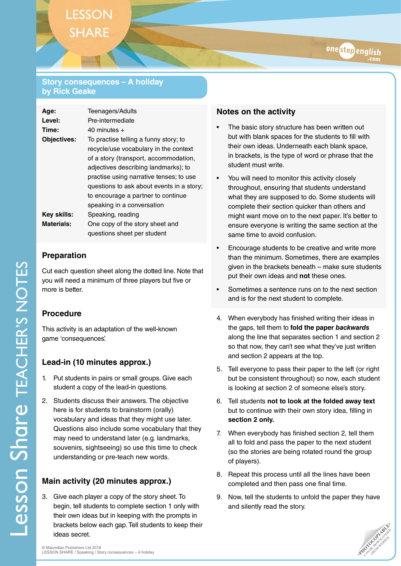#### **Story consequences – A holiday by Rick Geake**

| Age:               | <b>Teenagers/Adults</b>                   |
|--------------------|-------------------------------------------|
| Level:             | Pre-intermediate                          |
| Time:              | $40$ minutes $+$                          |
| <b>Objectives:</b> | To practise telling a funny story; to     |
|                    | recycle/use vocabulary in the context     |
|                    | of a story (transport, accommodation,     |
|                    | adjectives describing landmarks); to      |
|                    | practise using narrative tenses; to use   |
|                    | questions to ask about events in a story; |
|                    | to encourage a partner to continue        |
|                    | speaking in a conversation                |
| Key skills:        | Speaking, reading                         |
| <b>Materials:</b>  | One copy of the story sheet and           |
|                    | questions sheet per student               |

### **Preparation**

Cut each question sheet along the dotted line. Note that you will need a minimum of three players but five or more is better.

## **Procedure**

This activity is an adaptation of the well-known game 'consequences'.

# **Lead-in (10 minutes approx.)**

- 1. Put students in pairs or small groups. Give each student a copy of the lead-in questions.
- 2. Students discuss their answers. The objective here is for students to brainstorm (orally) vocabulary and ideas that they might use later. Questions also include some vocabulary that they may need to understand later (e.g. landmarks, souvenirs, sightseeing) so use this time to check understanding or pre-teach new words.

# **Main activity (20 minutes approx.)**

3. Give each player a copy of the story sheet. To begin, tell students to complete section 1 only with their own ideas but in keeping with the prompts in brackets below each gap. Tell students to keep their ideas secret.

## **Notes on the activity**

- The basic story structure has been written out but with blank spaces for the students to fill with their own ideas. Underneath each blank space, in brackets, is the type of word or phrase that the student must write.
- You will need to monitor this activity closely throughout, ensuring that students understand what they are supposed to do. Some students will complete their section quicker than others and might want move on to the next paper. It's better to ensure everyone is writing the same section at the same time to avoid confusion.
- Encourage students to be creative and write more than the minimum. Sometimes, there are examples given in the brackets beneath – make sure students put their own ideas and **not** these ones.
- Sometimes a sentence runs on to the next section and is for the next student to complete.
- 4. When everybody has finished writing their ideas in the gaps, tell them to **fold the paper** *backwards* along the line that separates section 1 and section 2 so that now, they can't see what they've just written and section 2 appears at the top.
- 5. Tell everyone to pass their paper to the left (or right but be consistent throughout) so now, each student is looking at section 2 of someone else's story.
- 6. Tell students **not to look at the folded away text** but to continue with their own story idea, filling in **section 2 only.**
- 7. When everybody has finished section 2, tell them all to fold and pass the paper to the next student (so the stories are being rotated round the group of players).
- 8. Repeat this process until all the lines have been completed and then pass one final time.
- 9. Now, tell the students to unfold the paper they have and silently read the story.

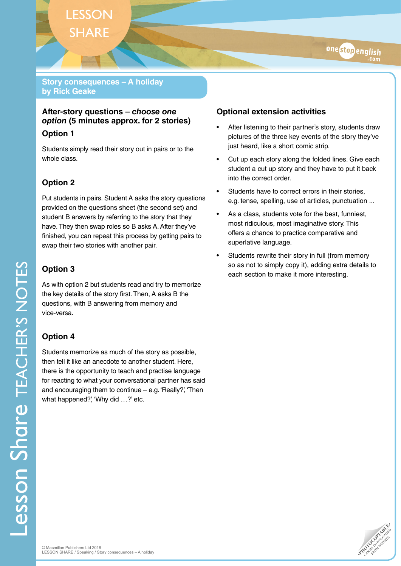### **Story consequences – A holiday by Rick Geake**

### **After-story questions –** *choose one option* **(5 minutes approx. for 2 stories)**

### **Option 1**

Students simply read their story out in pairs or to the whole class.

# **Option 2**

Put students in pairs. Student A asks the story questions provided on the questions sheet (the second set) and student B answers by referring to the story that they have. They then swap roles so B asks A. After they've finished, you can repeat this process by getting pairs to swap their two stories with another pair.

## **Option 3**

As with option 2 but students read and try to memorize the key details of the story first. Then, A asks B the questions, with B answering from memory and vice-versa.

# **Option 4**

Students memorize as much of the story as possible, then tell it like an anecdote to another student. Here, there is the opportunity to teach and practise language for reacting to what your conversational partner has said and encouraging them to continue – e.g. 'Really?', 'Then what happened?', 'Why did ...?' etc.

## **Optional extension activities**

- After listening to their partner's story, students draw pictures of the three key events of the story they've just heard, like a short comic strip.
- Cut up each story along the folded lines. Give each student a cut up story and they have to put it back into the correct order.
- Students have to correct errors in their stories, e.g. tense, spelling, use of articles, punctuation ...
- As a class, students vote for the best, funniest, most ridiculous, most imaginative story. This offers a chance to practice comparative and superlative language.
- Students rewrite their story in full (from memory so as not to simply copy it), adding extra details to each section to make it more interesting.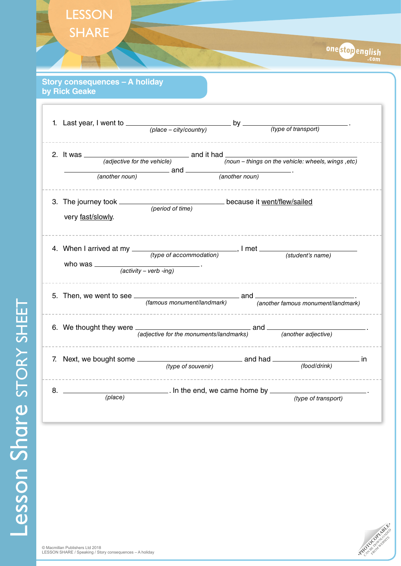| <b>SHARE</b>                                           | onestopenglish                                                                                                              |  |
|--------------------------------------------------------|-----------------------------------------------------------------------------------------------------------------------------|--|
| <b>Story consequences - A holiday</b><br>by Rick Geake |                                                                                                                             |  |
|                                                        |                                                                                                                             |  |
|                                                        | 2. It was $\frac{1}{(adjective for the vehicle)}$ and it had $\frac{1}{(noun - things on the vehicle: wheels, wings, etc)}$ |  |
| very fast/slowly.                                      |                                                                                                                             |  |
| who was $\frac{1}{(activity - verb - ing)}$ .          |                                                                                                                             |  |
|                                                        |                                                                                                                             |  |
|                                                        | 6. We thought they were $\frac{1}{(adjective for the\,mannents/landmarks)}$ and $\frac{1}{(another\,\,adjective)}$ .        |  |
|                                                        | ---------------------------                                                                                                 |  |
| $8.$ $\equiv$                                          | $(place)$ . In the end, we came home by $(place)$<br>(type of transport)                                                    |  |

Lesson Share STORY SHEET Lesson Share STORY SHEET